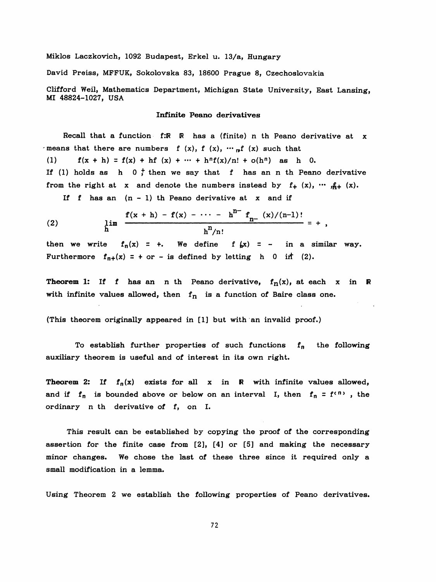Miklos Laczkovich, 1092 Budapest, Erkel u. 13/a, Hungary

David Preiss, MFFUK, Sokolovska 83, 18600 Prague 8, Czechoslovakia

Clifford Weil, Mathematics Department, Michigan State University, East Lansing, MI 48824-1027, USA

## Infinite Peano derivatives

Recall that a function f:R R has a (finite) n th Peano derivative at x -means that there are numbers f  $(x)$ , f  $(x)$ ,  $\cdots$  of  $(x)$  such that (1)  $f(x + h) = f(x) + hf(x) + \cdots + hf(x)/n! + o(h^n)$  as h 0. If (1) holds as h  $0 \frac{1}{r}$  then we say that f has an n th Peano derivative from the right at x and denote the numbers instead by  $f_+$  (x),  $\cdots$   $f_{+}$  (x).

If  $f$  has an  $(n - 1)$  th Peano derivative at x and if

(2) 
$$
\lim_{h \to 0} \frac{f(x+h) - f(x) - \cdots - h^{n-1} f_n(x)/(n-1)!}{h^n/n!} = +
$$

then we write  $f_n(x) = +$ . We define  $f(x) = -$  in a similar way. Furthermore  $f_{n+}(x) = +$  or - is defined by letting h 0 in (2).

**Theorem 1:** If f has an n th Peano derivative,  $f_n(x)$ , at each x in R with infinite values allowed, then  $f_n$  is a function of Baire class one.

(This theorem originally appeared in [1] but with an invalid proof.)

To establish further properties of such functions  $f_n$  the following auxiliary theorem is useful and of interest in its own right.

**Theorem 2:** If  $f_n(x)$  exists for all x in R with infinite values allowed, and if  $f_n$  is bounded above or below on an interval I, then  $f_n = f^{(n)}$ , the ordinary n th derivative of f, on I.

 This result can be established by copying the proof of the corresponding assertion for the finite case from [2], [4] or [5] and making the necessary minor changes. We chose the last of these three since it required only a small modification in a lemma.

Using Theorem 2 we establish the following properties of Peano derivatives.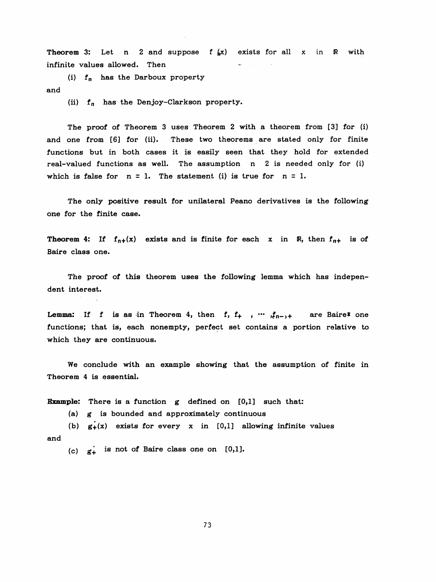**Theorem 3:** Let n 2 and suppose  $f(x)$  exists for all x in R with infinite values allowed. Then

(i)  $f_n$  has the Darboux property and

(ii)  $f_n$  has the Denjoy-Clarkson property.

 The proof of Theorem 3 uses Theorem 2 with a theorem from [3] for (i) and one from [6] for (ii). These two theorems are stated only for finite functions but in both cases it is easily seen that they hold for extended real-valued functions as well. The assumption n 2 is needed only for (i) which is false for  $n = 1$ . The statement (i) is true for  $n = 1$ .

 The only positive result for unilateral Peano derivatives is the following one for the finite case.

**Theorem 4:** If  $f_{n+}(x)$  exists and is finite for each x in R, then  $f_{n+}$  is of Baire class one.

 The proof of this theorem uses the following lemma which has indepen dent interest.

**Lemma:** If f is as in Theorem 4, then f, f<sub>+</sub>, ...  $f_{n-1}$  are Baire\* one functions; that is, each nonempty, perfect set contains a portion relative to which they are continuous.

 We conclude with an example showing that the assumption of finite in Theorem 4 is essential.

**Example:** There is a function  $g$  defined on  $[0,1]$  such that:

(a) g is bounded and approximately continuous

(b)  $g_{+}(x)$  exists for every x in [0,1] allowing infinite values and

(c)  $g'_+$  is not of Baire class one on [0,1].